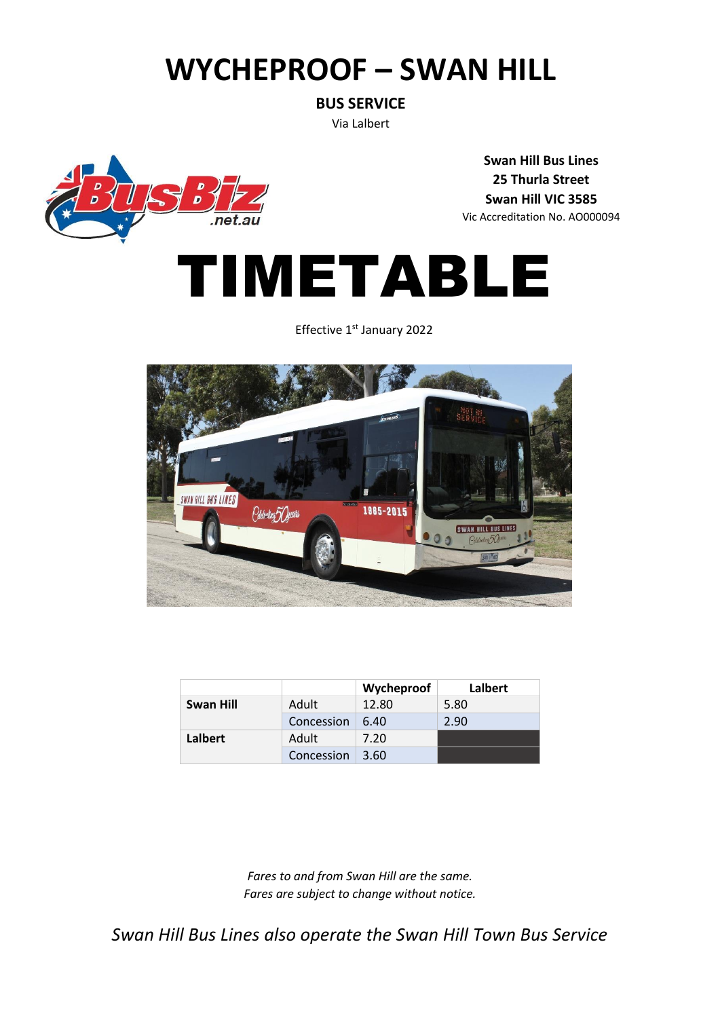## **WYCHEPROOF – SWAN HILL**

**BUS SERVICE**

Via Lalbert



**Swan Hill Bus Lines 25 Thurla Street Swan Hill VIC 3585** Vic Accreditation No. AO000094



Effective 1<sup>st</sup> January 2022



|           |            | Wycheproof | Lalbert |
|-----------|------------|------------|---------|
| Swan Hill | Adult      | 12.80      | 5.80    |
|           | Concession | 6.40       | 2.90    |
| Lalbert   | Adult      | 7.20       |         |
|           | Concession | 3.60       |         |

*Fares to and from Swan Hill are the same. Fares are subject to change without notice.*

*Swan Hill Bus Lines also operate the Swan Hill Town Bus Service*